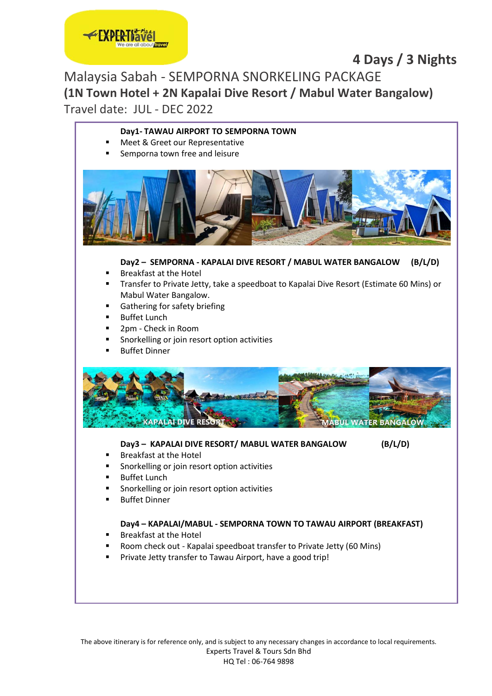## **4 Days / 3 Nights**

Malaysia Sabah - SEMPORNA SNORKELING PACKAGE **(1N Town Hotel + 2N Kapalai Dive Resort / Mabul Water Bangalow)** Travel date: JUL - DEC 2022

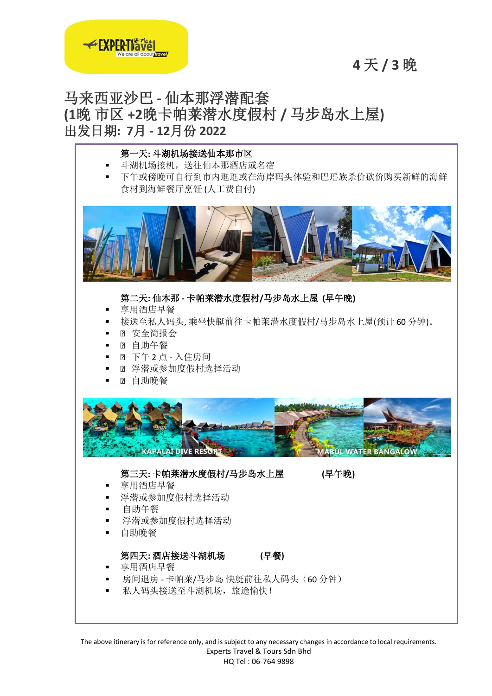## **4** 天 **/ 3** 晚



## 马来西亚沙巴 **-** 仙本那浮潜配套 **(1**晚 市区 **+2**晚卡帕莱潜水度假村 **/** 马步岛水上屋**)** 出发日期**: 7**月 **- 12**月份 **2022**



The above itinerary is for reference only, and is subject to any necessary changes in accordance to local requirements. Experts Travel & Tours Sdn Bhd HQ Tel : 06-764 9898